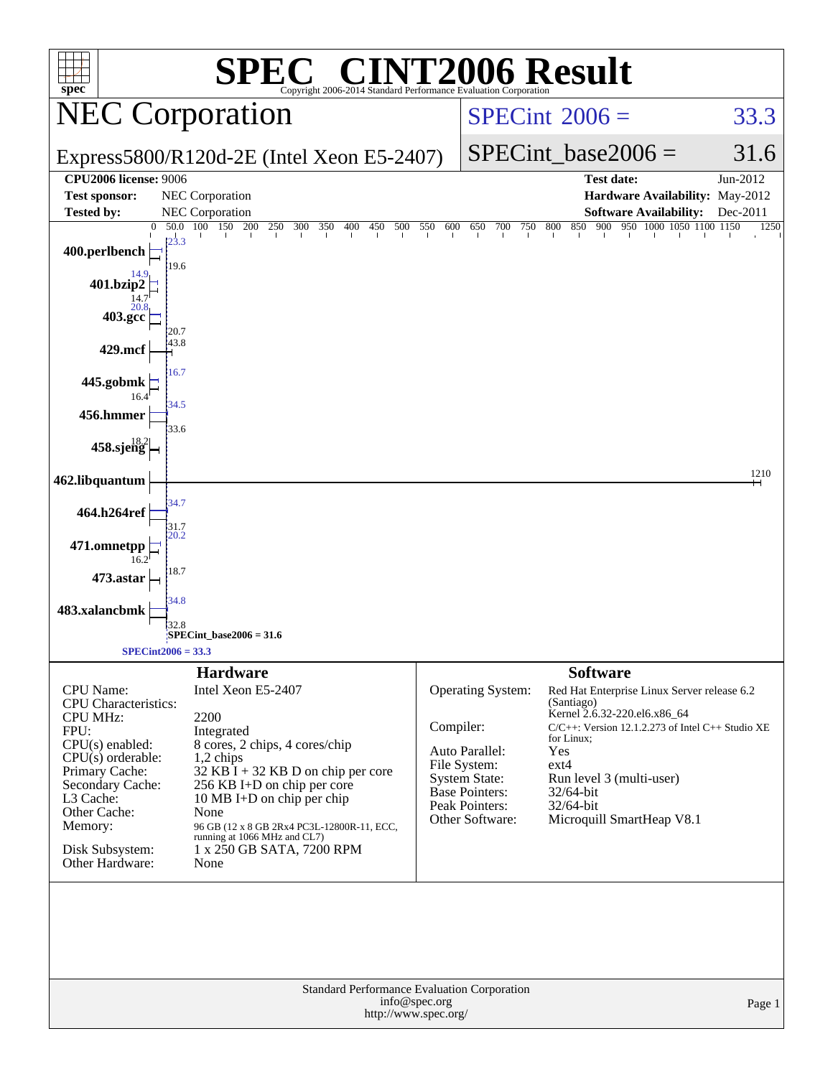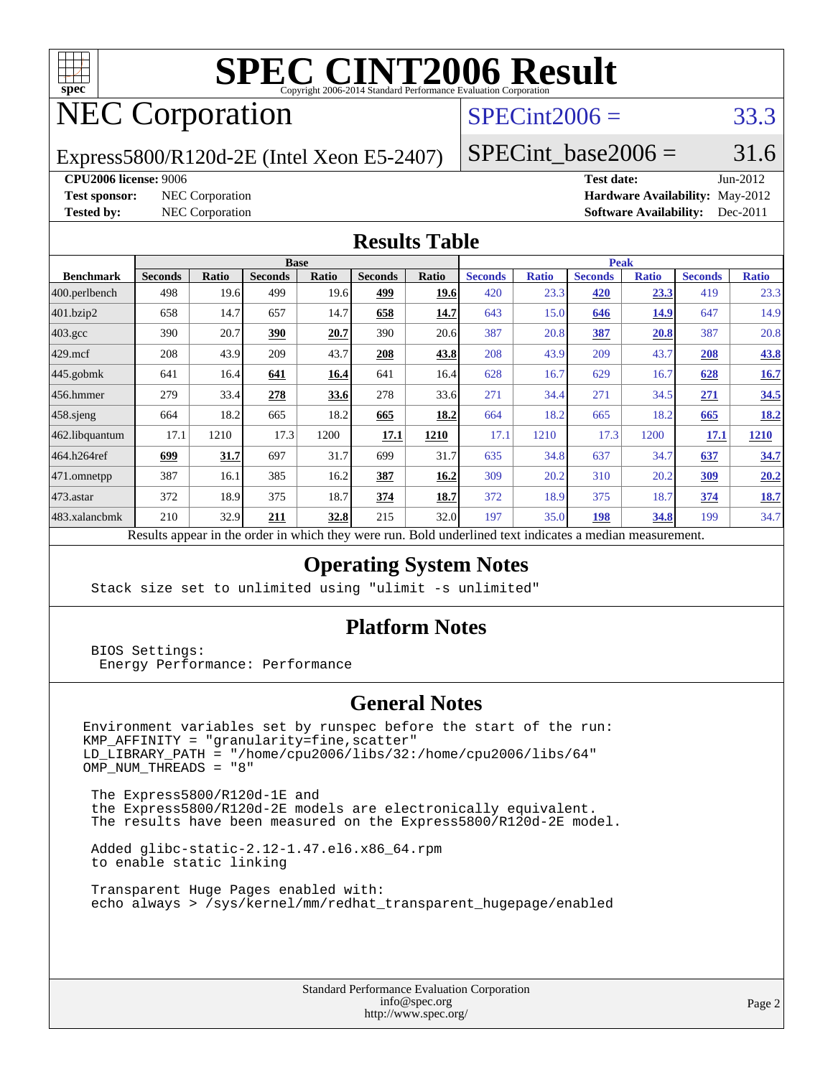

# **[SPEC CINT2006 Result](http://www.spec.org/auto/cpu2006/Docs/result-fields.html#SPECCINT2006Result)**

## NEC Corporation

## $SPECint2006 = 33.3$  $SPECint2006 = 33.3$

Express5800/R120d-2E (Intel Xeon E5-2407)

SPECint base2006 =  $31.6$ 

#### **[CPU2006 license:](http://www.spec.org/auto/cpu2006/Docs/result-fields.html#CPU2006license)** 9006 **[Test date:](http://www.spec.org/auto/cpu2006/Docs/result-fields.html#Testdate)** Jun-2012

**[Test sponsor:](http://www.spec.org/auto/cpu2006/Docs/result-fields.html#Testsponsor)** NEC Corporation **[Hardware Availability:](http://www.spec.org/auto/cpu2006/Docs/result-fields.html#HardwareAvailability)** May-2012 **[Tested by:](http://www.spec.org/auto/cpu2006/Docs/result-fields.html#Testedby)** NEC Corporation **[Software Availability:](http://www.spec.org/auto/cpu2006/Docs/result-fields.html#SoftwareAvailability)** Dec-2011

### **[Results Table](http://www.spec.org/auto/cpu2006/Docs/result-fields.html#ResultsTable)**

|                    | <b>Base</b>                                                  |       |                |       |                |       | <b>Peak</b>                       |              |                |              |                |              |
|--------------------|--------------------------------------------------------------|-------|----------------|-------|----------------|-------|-----------------------------------|--------------|----------------|--------------|----------------|--------------|
| <b>Benchmark</b>   | <b>Seconds</b>                                               | Ratio | <b>Seconds</b> | Ratio | <b>Seconds</b> | Ratio | <b>Seconds</b>                    | <b>Ratio</b> | <b>Seconds</b> | <b>Ratio</b> | <b>Seconds</b> | <b>Ratio</b> |
| $ 400$ .perlbench  | 498                                                          | 19.6  | 499            | 19.6  | 499            | 19.6  | 420                               | 23.3         | 420            | 23.3         | 419            | 23.3         |
| 401.bzip2          | 658                                                          | 14.7  | 657            | 14.7  | 658            | 14.7  | 643                               | 15.0         | 646            | <b>14.9</b>  | 647            | 14.9         |
| $403.\mathrm{gcc}$ | 390                                                          | 20.7  | 390            | 20.7  | 390            | 20.6  | 387                               | 20.8         | 387            | 20.8         | 387            | 20.8         |
| $429$ .mcf         | 208                                                          | 43.9  | 209            | 43.7  | 208            | 43.8  | 208                               | 43.9         | 209            | 43.7         | 208            | <u>43.8</u>  |
| $445$ .gobmk       | 641                                                          | 16.4  | 641            | 16.4  | 641            | 16.4  | 628                               | 16.7         | 629            | 16.7         | 628            | 16.7         |
| 456.hmmer          | 279                                                          | 33.4  | 278            | 33.6  | 278            | 33.6  | 271                               | 34.4         | 271            | 34.5         | 271            | 34.5         |
| $458$ .sjeng       | 664                                                          | 18.2  | 665            | 18.2  | 665            | 18.2  | 664                               | 18.2         | 665            | 18.2         | 665            | <u>18.2</u>  |
| 462.libquantum     | 17.1                                                         | 1210  | 17.3           | 1200  | 17.1           | 1210  | 17.1                              | 1210         | 17.3           | 1200         | 17.1           | <b>1210</b>  |
| 464.h264ref        | 699                                                          | 31.7  | 697            | 31.7  | 699            | 31.7  | 635                               | 34.8         | 637            | 34.7         | 637            | 34.7         |
| 471.omnetpp        | 387                                                          | 16.1  | 385            | 16.2  | 387            | 16.2  | 309                               | 20.2         | 310            | 20.2         | <u>309</u>     | 20.2         |
| $473$ . astar      | 372                                                          | 18.9  | 375            | 18.7  | 374            | 18.7  | 372                               | 18.9         | 375            | 18.7         | 374            | 18.7         |
| 483.xalancbmk      | 210                                                          | 32.9  | 211            | 32.8  | 215            | 32.0  | 197                               | 35.0         | 198            | 34.8         | 199            | 34.7         |
|                    | Describe announced to the conduction to think there are more |       |                |       |                |       | Dald and adjust to at indicates a |              |                |              |                |              |

Results appear in the [order in which they were run.](http://www.spec.org/auto/cpu2006/Docs/result-fields.html#RunOrder) Bold underlined text [indicates a median measurement.](http://www.spec.org/auto/cpu2006/Docs/result-fields.html#Median)

## **[Operating System Notes](http://www.spec.org/auto/cpu2006/Docs/result-fields.html#OperatingSystemNotes)**

Stack size set to unlimited using "ulimit -s unlimited"

### **[Platform Notes](http://www.spec.org/auto/cpu2006/Docs/result-fields.html#PlatformNotes)**

 BIOS Settings: Energy Performance: Performance

### **[General Notes](http://www.spec.org/auto/cpu2006/Docs/result-fields.html#GeneralNotes)**

Environment variables set by runspec before the start of the run: KMP\_AFFINITY = "granularity=fine,scatter" LD\_LIBRARY\_PATH = "/home/cpu2006/libs/32:/home/cpu2006/libs/64"  $OMP$  NUM THREADS = "8"

 The Express5800/R120d-1E and the Express5800/R120d-2E models are electronically equivalent. The results have been measured on the Express5800/R120d-2E model.

 Added glibc-static-2.12-1.47.el6.x86\_64.rpm to enable static linking

 Transparent Huge Pages enabled with: echo always > /sys/kernel/mm/redhat\_transparent\_hugepage/enabled

> Standard Performance Evaluation Corporation [info@spec.org](mailto:info@spec.org) <http://www.spec.org/>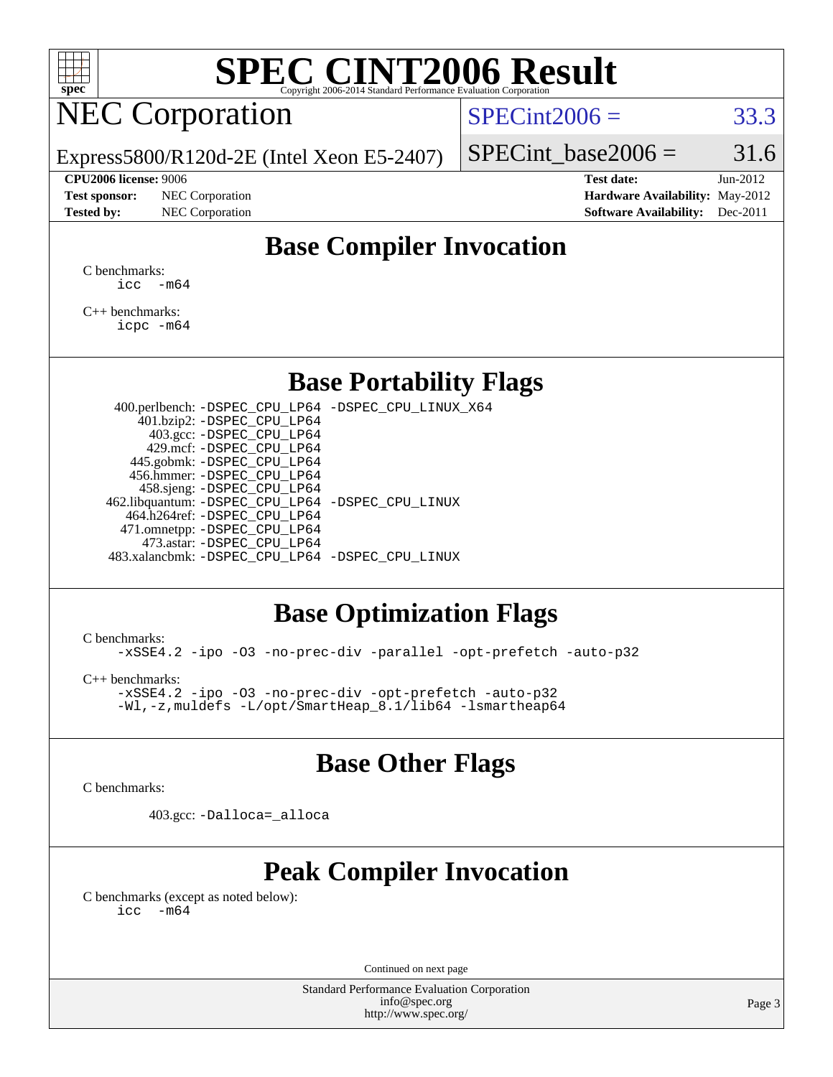

# **[SPEC CINT2006 Result](http://www.spec.org/auto/cpu2006/Docs/result-fields.html#SPECCINT2006Result)**

## NEC Corporation

 $SPECint2006 = 33.3$  $SPECint2006 = 33.3$ 

Express5800/R120d-2E (Intel Xeon E5-2407)

#### **[CPU2006 license:](http://www.spec.org/auto/cpu2006/Docs/result-fields.html#CPU2006license)** 9006 **[Test date:](http://www.spec.org/auto/cpu2006/Docs/result-fields.html#Testdate)** Jun-2012

**[Test sponsor:](http://www.spec.org/auto/cpu2006/Docs/result-fields.html#Testsponsor)** NEC Corporation **[Hardware Availability:](http://www.spec.org/auto/cpu2006/Docs/result-fields.html#HardwareAvailability)** May-2012

SPECint base2006 =  $31.6$ 

**[Tested by:](http://www.spec.org/auto/cpu2006/Docs/result-fields.html#Testedby)** NEC Corporation **[Software Availability:](http://www.spec.org/auto/cpu2006/Docs/result-fields.html#SoftwareAvailability)** Dec-2011

## **[Base Compiler Invocation](http://www.spec.org/auto/cpu2006/Docs/result-fields.html#BaseCompilerInvocation)**

[C benchmarks](http://www.spec.org/auto/cpu2006/Docs/result-fields.html#Cbenchmarks):  $\text{icc}$   $-\text{m64}$ 

[C++ benchmarks:](http://www.spec.org/auto/cpu2006/Docs/result-fields.html#CXXbenchmarks) [icpc -m64](http://www.spec.org/cpu2006/results/res2012q3/cpu2006-20120617-22923.flags.html#user_CXXbase_intel_icpc_64bit_fc66a5337ce925472a5c54ad6a0de310)

## **[Base Portability Flags](http://www.spec.org/auto/cpu2006/Docs/result-fields.html#BasePortabilityFlags)**

 400.perlbench: [-DSPEC\\_CPU\\_LP64](http://www.spec.org/cpu2006/results/res2012q3/cpu2006-20120617-22923.flags.html#b400.perlbench_basePORTABILITY_DSPEC_CPU_LP64) [-DSPEC\\_CPU\\_LINUX\\_X64](http://www.spec.org/cpu2006/results/res2012q3/cpu2006-20120617-22923.flags.html#b400.perlbench_baseCPORTABILITY_DSPEC_CPU_LINUX_X64) 401.bzip2: [-DSPEC\\_CPU\\_LP64](http://www.spec.org/cpu2006/results/res2012q3/cpu2006-20120617-22923.flags.html#suite_basePORTABILITY401_bzip2_DSPEC_CPU_LP64) 403.gcc: [-DSPEC\\_CPU\\_LP64](http://www.spec.org/cpu2006/results/res2012q3/cpu2006-20120617-22923.flags.html#suite_basePORTABILITY403_gcc_DSPEC_CPU_LP64) 429.mcf: [-DSPEC\\_CPU\\_LP64](http://www.spec.org/cpu2006/results/res2012q3/cpu2006-20120617-22923.flags.html#suite_basePORTABILITY429_mcf_DSPEC_CPU_LP64) 445.gobmk: [-DSPEC\\_CPU\\_LP64](http://www.spec.org/cpu2006/results/res2012q3/cpu2006-20120617-22923.flags.html#suite_basePORTABILITY445_gobmk_DSPEC_CPU_LP64) 456.hmmer: [-DSPEC\\_CPU\\_LP64](http://www.spec.org/cpu2006/results/res2012q3/cpu2006-20120617-22923.flags.html#suite_basePORTABILITY456_hmmer_DSPEC_CPU_LP64) 458.sjeng: [-DSPEC\\_CPU\\_LP64](http://www.spec.org/cpu2006/results/res2012q3/cpu2006-20120617-22923.flags.html#suite_basePORTABILITY458_sjeng_DSPEC_CPU_LP64) 462.libquantum: [-DSPEC\\_CPU\\_LP64](http://www.spec.org/cpu2006/results/res2012q3/cpu2006-20120617-22923.flags.html#suite_basePORTABILITY462_libquantum_DSPEC_CPU_LP64) [-DSPEC\\_CPU\\_LINUX](http://www.spec.org/cpu2006/results/res2012q3/cpu2006-20120617-22923.flags.html#b462.libquantum_baseCPORTABILITY_DSPEC_CPU_LINUX) 464.h264ref: [-DSPEC\\_CPU\\_LP64](http://www.spec.org/cpu2006/results/res2012q3/cpu2006-20120617-22923.flags.html#suite_basePORTABILITY464_h264ref_DSPEC_CPU_LP64) 471.omnetpp: [-DSPEC\\_CPU\\_LP64](http://www.spec.org/cpu2006/results/res2012q3/cpu2006-20120617-22923.flags.html#suite_basePORTABILITY471_omnetpp_DSPEC_CPU_LP64) 473.astar: [-DSPEC\\_CPU\\_LP64](http://www.spec.org/cpu2006/results/res2012q3/cpu2006-20120617-22923.flags.html#suite_basePORTABILITY473_astar_DSPEC_CPU_LP64) 483.xalancbmk: [-DSPEC\\_CPU\\_LP64](http://www.spec.org/cpu2006/results/res2012q3/cpu2006-20120617-22923.flags.html#suite_basePORTABILITY483_xalancbmk_DSPEC_CPU_LP64) [-DSPEC\\_CPU\\_LINUX](http://www.spec.org/cpu2006/results/res2012q3/cpu2006-20120617-22923.flags.html#b483.xalancbmk_baseCXXPORTABILITY_DSPEC_CPU_LINUX)

## **[Base Optimization Flags](http://www.spec.org/auto/cpu2006/Docs/result-fields.html#BaseOptimizationFlags)**

[C benchmarks](http://www.spec.org/auto/cpu2006/Docs/result-fields.html#Cbenchmarks):

[-xSSE4.2](http://www.spec.org/cpu2006/results/res2012q3/cpu2006-20120617-22923.flags.html#user_CCbase_f-xSSE42_f91528193cf0b216347adb8b939d4107) [-ipo](http://www.spec.org/cpu2006/results/res2012q3/cpu2006-20120617-22923.flags.html#user_CCbase_f-ipo) [-O3](http://www.spec.org/cpu2006/results/res2012q3/cpu2006-20120617-22923.flags.html#user_CCbase_f-O3) [-no-prec-div](http://www.spec.org/cpu2006/results/res2012q3/cpu2006-20120617-22923.flags.html#user_CCbase_f-no-prec-div) [-parallel](http://www.spec.org/cpu2006/results/res2012q3/cpu2006-20120617-22923.flags.html#user_CCbase_f-parallel) [-opt-prefetch](http://www.spec.org/cpu2006/results/res2012q3/cpu2006-20120617-22923.flags.html#user_CCbase_f-opt-prefetch) [-auto-p32](http://www.spec.org/cpu2006/results/res2012q3/cpu2006-20120617-22923.flags.html#user_CCbase_f-auto-p32)

[C++ benchmarks:](http://www.spec.org/auto/cpu2006/Docs/result-fields.html#CXXbenchmarks) [-xSSE4.2](http://www.spec.org/cpu2006/results/res2012q3/cpu2006-20120617-22923.flags.html#user_CXXbase_f-xSSE42_f91528193cf0b216347adb8b939d4107) [-ipo](http://www.spec.org/cpu2006/results/res2012q3/cpu2006-20120617-22923.flags.html#user_CXXbase_f-ipo) [-O3](http://www.spec.org/cpu2006/results/res2012q3/cpu2006-20120617-22923.flags.html#user_CXXbase_f-O3) [-no-prec-div](http://www.spec.org/cpu2006/results/res2012q3/cpu2006-20120617-22923.flags.html#user_CXXbase_f-no-prec-div) [-opt-prefetch](http://www.spec.org/cpu2006/results/res2012q3/cpu2006-20120617-22923.flags.html#user_CXXbase_f-opt-prefetch) [-auto-p32](http://www.spec.org/cpu2006/results/res2012q3/cpu2006-20120617-22923.flags.html#user_CXXbase_f-auto-p32)

[-Wl,-z,muldefs](http://www.spec.org/cpu2006/results/res2012q3/cpu2006-20120617-22923.flags.html#user_CXXbase_link_force_multiple1_74079c344b956b9658436fd1b6dd3a8a) [-L/opt/SmartHeap\\_8.1/lib64 -lsmartheap64](http://www.spec.org/cpu2006/results/res2012q3/cpu2006-20120617-22923.flags.html#user_CXXbase_SmartHeap64_7ff9c3d8ca51c2767359d6aa2f519d77)

## **[Base Other Flags](http://www.spec.org/auto/cpu2006/Docs/result-fields.html#BaseOtherFlags)**

[C benchmarks](http://www.spec.org/auto/cpu2006/Docs/result-fields.html#Cbenchmarks):

403.gcc: [-Dalloca=\\_alloca](http://www.spec.org/cpu2006/results/res2012q3/cpu2006-20120617-22923.flags.html#b403.gcc_baseEXTRA_CFLAGS_Dalloca_be3056838c12de2578596ca5467af7f3)

## **[Peak Compiler Invocation](http://www.spec.org/auto/cpu2006/Docs/result-fields.html#PeakCompilerInvocation)**

[C benchmarks \(except as noted below\)](http://www.spec.org/auto/cpu2006/Docs/result-fields.html#Cbenchmarksexceptasnotedbelow):  $\text{icc}$  -m64

Continued on next page

Standard Performance Evaluation Corporation [info@spec.org](mailto:info@spec.org) <http://www.spec.org/>

Page 3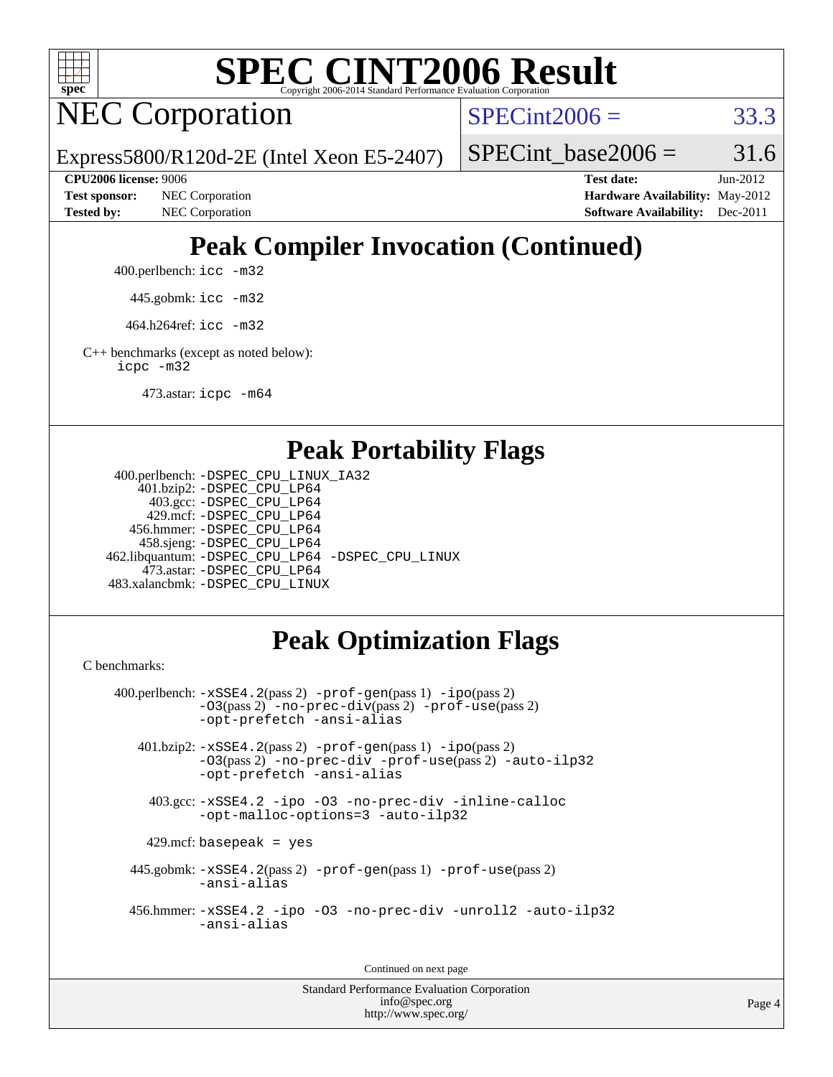

# **[SPEC CINT2006 Result](http://www.spec.org/auto/cpu2006/Docs/result-fields.html#SPECCINT2006Result)**

NEC Corporation

 $SPECint2006 = 33.3$  $SPECint2006 = 33.3$ 

Express5800/R120d-2E (Intel Xeon E5-2407)

SPECint base2006 =  $31.6$ 

**[CPU2006 license:](http://www.spec.org/auto/cpu2006/Docs/result-fields.html#CPU2006license)** 9006 **[Test date:](http://www.spec.org/auto/cpu2006/Docs/result-fields.html#Testdate)** Jun-2012 **[Test sponsor:](http://www.spec.org/auto/cpu2006/Docs/result-fields.html#Testsponsor)** NEC Corporation **[Hardware Availability:](http://www.spec.org/auto/cpu2006/Docs/result-fields.html#HardwareAvailability)** May-2012 **[Tested by:](http://www.spec.org/auto/cpu2006/Docs/result-fields.html#Testedby)** NEC Corporation **[Software Availability:](http://www.spec.org/auto/cpu2006/Docs/result-fields.html#SoftwareAvailability)** Dec-2011

## **[Peak Compiler Invocation \(Continued\)](http://www.spec.org/auto/cpu2006/Docs/result-fields.html#PeakCompilerInvocation)**

400.perlbench: [icc -m32](http://www.spec.org/cpu2006/results/res2012q3/cpu2006-20120617-22923.flags.html#user_peakCCLD400_perlbench_intel_icc_a6a621f8d50482236b970c6ac5f55f93)

445.gobmk: [icc -m32](http://www.spec.org/cpu2006/results/res2012q3/cpu2006-20120617-22923.flags.html#user_peakCCLD445_gobmk_intel_icc_a6a621f8d50482236b970c6ac5f55f93)

464.h264ref: [icc -m32](http://www.spec.org/cpu2006/results/res2012q3/cpu2006-20120617-22923.flags.html#user_peakCCLD464_h264ref_intel_icc_a6a621f8d50482236b970c6ac5f55f93)

[C++ benchmarks \(except as noted below\):](http://www.spec.org/auto/cpu2006/Docs/result-fields.html#CXXbenchmarksexceptasnotedbelow) [icpc -m32](http://www.spec.org/cpu2006/results/res2012q3/cpu2006-20120617-22923.flags.html#user_CXXpeak_intel_icpc_4e5a5ef1a53fd332b3c49e69c3330699)

473.astar: [icpc -m64](http://www.spec.org/cpu2006/results/res2012q3/cpu2006-20120617-22923.flags.html#user_peakCXXLD473_astar_intel_icpc_64bit_fc66a5337ce925472a5c54ad6a0de310)

## **[Peak Portability Flags](http://www.spec.org/auto/cpu2006/Docs/result-fields.html#PeakPortabilityFlags)**

```
 400.perlbench: -DSPEC_CPU_LINUX_IA32
    401.bzip2: -DSPEC_CPU_LP64
      403.gcc: -DSPEC_CPU_LP64
     429.mcf: -DSPEC_CPU_LP64
   456.hmmer: -DSPEC_CPU_LP64
    458.sjeng: -DSPEC_CPU_LP64
462.libquantum: -DSPEC_CPU_LP64 -DSPEC_CPU_LINUX
     473.astar: -DSPEC_CPU_LP64
483.xalancbmk: -DSPEC_CPU_LINUX
```
## **[Peak Optimization Flags](http://www.spec.org/auto/cpu2006/Docs/result-fields.html#PeakOptimizationFlags)**

[C benchmarks](http://www.spec.org/auto/cpu2006/Docs/result-fields.html#Cbenchmarks):

```
 400.perlbench: -xSSE4.2(pass 2) -prof-gen(pass 1) -ipo(pass 2)
           -O3(pass 2) -no-prec-div(pass 2) -prof-use(pass 2)
          -opt-prefetch -ansi-alias
   401.bzip2: -xSSE4.2(pass 2) -prof-gen(pass 1) -ipo(pass 2)
           -O3(pass 2) -no-prec-div -prof-use(pass 2) -auto-ilp32
           -opt-prefetch -ansi-alias
    403.gcc: -xSSE4.2 -ipo -O3 -no-prec-div -inline-calloc
           -opt-malloc-options=3 -auto-ilp32
   429.mcf: basepeak = yes
  445.gobmk: -xSSE4.2(pass 2) -prof-gen(pass 1) -prof-use(pass 2)
           -ansi-alias
  456.hmmer: -xSSE4.2 -ipo -O3 -no-prec-div -unroll2 -auto-ilp32
           -ansi-alias
```
Continued on next page

Standard Performance Evaluation Corporation [info@spec.org](mailto:info@spec.org) <http://www.spec.org/>